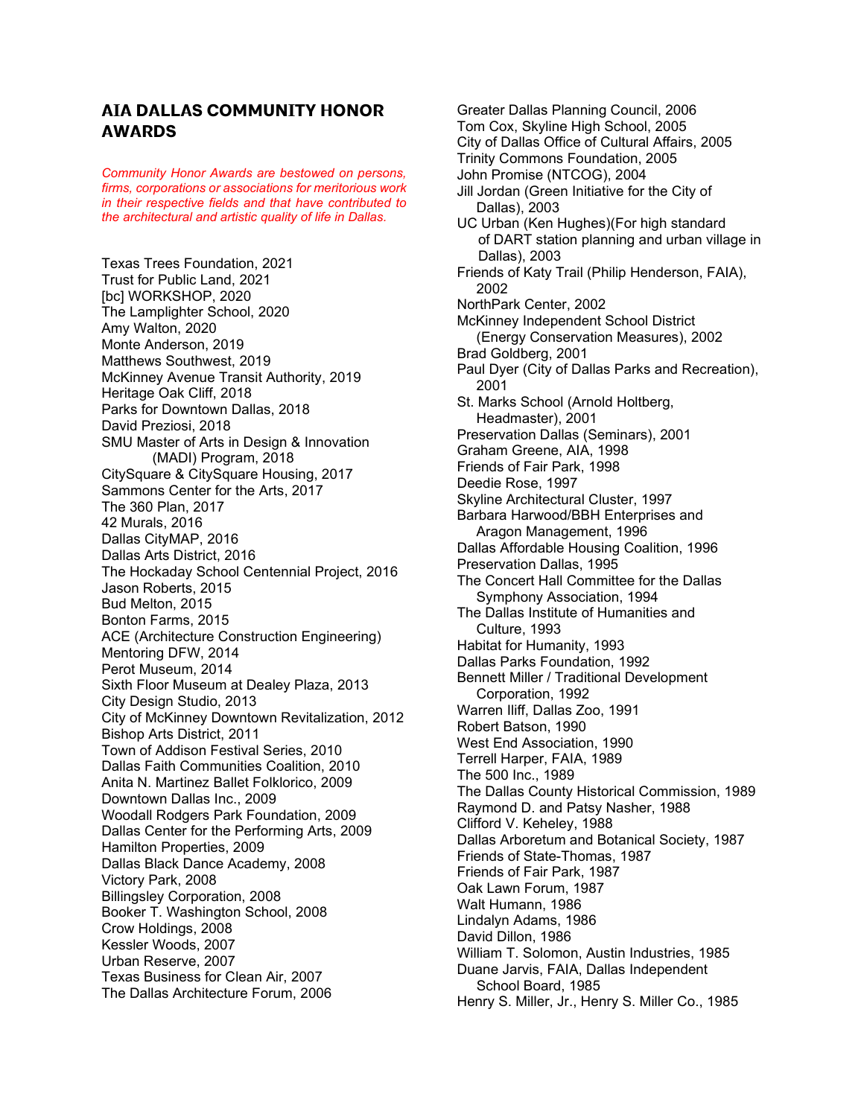## **AIA DALLAS COMMUNITY HONOR AWARDS**

*Community Honor Awards are bestowed on persons, firms, corporations or associations for meritorious work in their respective fields and that have contributed to the architectural and artistic quality of life in Dallas.*

Texas Trees Foundation, 2021 Trust for Public Land, 2021 [bc] WORKSHOP, 2020 The Lamplighter School, 2020 Amy Walton, 2020 Monte Anderson, 2019 Matthews Southwest, 2019 McKinney Avenue Transit Authority, 2019 Heritage Oak Cliff, 2018 Parks for Downtown Dallas, 2018 David Preziosi, 2018 SMU Master of Arts in Design & Innovation (MADI) Program, 2018 CitySquare & CitySquare Housing, 2017 Sammons Center for the Arts, 2017 The 360 Plan, 2017 42 Murals, 2016 Dallas CityMAP, 2016 Dallas Arts District, 2016 The Hockaday School Centennial Project, 2016 Jason Roberts, 2015 Bud Melton, 2015 Bonton Farms, 2015 ACE (Architecture Construction Engineering) Mentoring DFW, 2014 Perot Museum, 2014 Sixth Floor Museum at Dealey Plaza, 2013 City Design Studio, 2013 City of McKinney Downtown Revitalization, 2012 Bishop Arts District, 2011 Town of Addison Festival Series, 2010 Dallas Faith Communities Coalition, 2010 Anita N. Martinez Ballet Folklorico, 2009 Downtown Dallas Inc., 2009 Woodall Rodgers Park Foundation, 2009 Dallas Center for the Performing Arts, 2009 Hamilton Properties, 2009 Dallas Black Dance Academy, 2008 Victory Park, 2008 Billingsley Corporation, 2008 Booker T. Washington School, 2008 Crow Holdings, 2008 Kessler Woods, 2007 Urban Reserve, 2007 Texas Business for Clean Air, 2007 The Dallas Architecture Forum, 2006

Greater Dallas Planning Council, 2006 Tom Cox, Skyline High School, 2005 City of Dallas Office of Cultural Affairs, 2005 Trinity Commons Foundation, 2005 John Promise (NTCOG), 2004 Jill Jordan (Green Initiative for the City of Dallas), 2003 UC Urban (Ken Hughes)(For high standard of DART station planning and urban village in Dallas), 2003 Friends of Katy Trail (Philip Henderson, FAIA), 2002 NorthPark Center, 2002 McKinney Independent School District (Energy Conservation Measures), 2002 Brad Goldberg, 2001 Paul Dyer (City of Dallas Parks and Recreation), 2001 St. Marks School (Arnold Holtberg, Headmaster), 2001 Preservation Dallas (Seminars), 2001 Graham Greene, AIA, 1998 Friends of Fair Park, 1998 Deedie Rose, 1997 Skyline Architectural Cluster, 1997 Barbara Harwood/BBH Enterprises and Aragon Management, 1996 Dallas Affordable Housing Coalition, 1996 Preservation Dallas, 1995 The Concert Hall Committee for the Dallas Symphony Association, 1994 The Dallas Institute of Humanities and Culture, 1993 Habitat for Humanity, 1993 Dallas Parks Foundation, 1992 Bennett Miller / Traditional Development Corporation, 1992 Warren Iliff, Dallas Zoo, 1991 Robert Batson, 1990 West End Association, 1990 Terrell Harper, FAIA, 1989 The 500 Inc., 1989 The Dallas County Historical Commission, 1989 Raymond D. and Patsy Nasher, 1988 Clifford V. Keheley, 1988 Dallas Arboretum and Botanical Society, 1987 Friends of State-Thomas, 1987 Friends of Fair Park, 1987 Oak Lawn Forum, 1987 Walt Humann, 1986 Lindalyn Adams, 1986 David Dillon, 1986 William T. Solomon, Austin Industries, 1985 Duane Jarvis, FAIA, Dallas Independent School Board, 1985 Henry S. Miller, Jr., Henry S. Miller Co., 1985